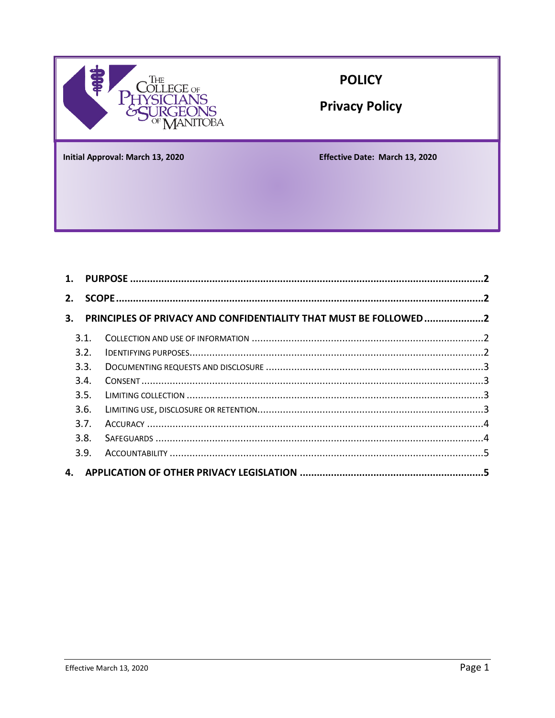

### **POLICY**

**Privacy Policy** 

**Initial Approval: March 13, 2020** 

Effective Date: March 13, 2020

| PRINCIPLES OF PRIVACY AND CONFIDENTIALITY THAT MUST BE FOLLOWED2 |
|------------------------------------------------------------------|
|                                                                  |
|                                                                  |
|                                                                  |
|                                                                  |
|                                                                  |
|                                                                  |
|                                                                  |
|                                                                  |
|                                                                  |
|                                                                  |
|                                                                  |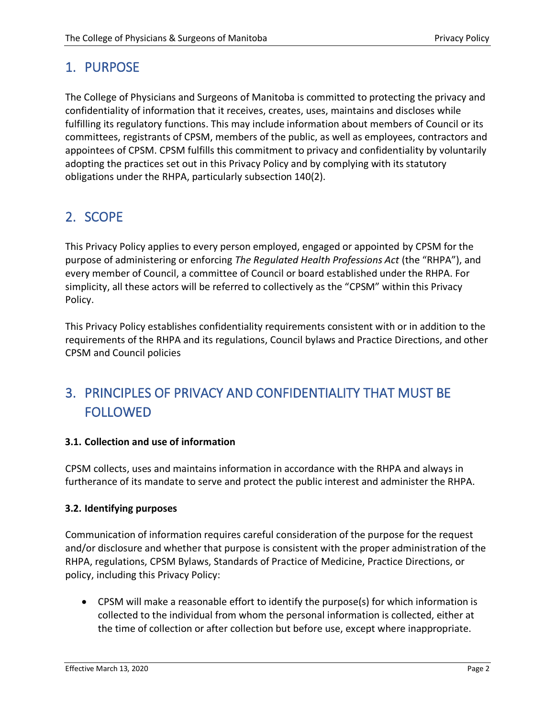## <span id="page-1-0"></span>1. PURPOSE

The College of Physicians and Surgeons of Manitoba is committed to protecting the privacy and confidentiality of information that it receives, creates, uses, maintains and discloses while fulfilling its regulatory functions. This may include information about members of Council or its committees, registrants of CPSM, members of the public, as well as employees, contractors and appointees of CPSM. CPSM fulfills this commitment to privacy and confidentiality by voluntarily adopting the practices set out in this Privacy Policy and by complying with its statutory obligations under the RHPA, particularly subsection 140(2).

## <span id="page-1-1"></span>2. SCOPE

This Privacy Policy applies to every person employed, engaged or appointed by CPSM for the purpose of administering or enforcing *The Regulated Health Professions Act* (the "RHPA"), and every member of Council, a committee of Council or board established under the RHPA. For simplicity, all these actors will be referred to collectively as the "CPSM" within this Privacy Policy.

This Privacy Policy establishes confidentiality requirements consistent with or in addition to the requirements of the RHPA and its regulations, Council bylaws and Practice Directions, and other CPSM and Council policies

# <span id="page-1-2"></span>3. PRINCIPLES OF PRIVACY AND CONFIDENTIALITY THAT MUST BE FOLLOWED

#### <span id="page-1-3"></span>**3.1. Collection and use of information**

CPSM collects, uses and maintains information in accordance with the RHPA and always in furtherance of its mandate to serve and protect the public interest and administer the RHPA.

#### <span id="page-1-4"></span>**3.2. Identifying purposes**

Communication of information requires careful consideration of the purpose for the request and/or disclosure and whether that purpose is consistent with the proper administration of the RHPA, regulations, CPSM Bylaws, Standards of Practice of Medicine, Practice Directions, or policy, including this Privacy Policy:

• CPSM will make a reasonable effort to identify the purpose(s) for which information is collected to the individual from whom the personal information is collected, either at the time of collection or after collection but before use, except where inappropriate.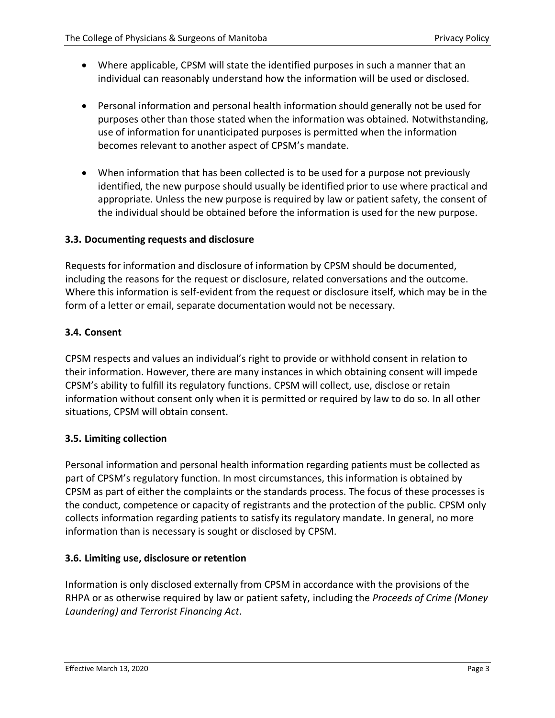- Where applicable, CPSM will state the identified purposes in such a manner that an individual can reasonably understand how the information will be used or disclosed.
- Personal information and personal health information should generally not be used for purposes other than those stated when the information was obtained. Notwithstanding, use of information for unanticipated purposes is permitted when the information becomes relevant to another aspect of CPSM's mandate.
- When information that has been collected is to be used for a purpose not previously identified, the new purpose should usually be identified prior to use where practical and appropriate. Unless the new purpose is required by law or patient safety, the consent of the individual should be obtained before the information is used for the new purpose.

#### <span id="page-2-0"></span>**3.3. Documenting requests and disclosure**

Requests for information and disclosure of information by CPSM should be documented, including the reasons for the request or disclosure, related conversations and the outcome. Where this information is self-evident from the request or disclosure itself, which may be in the form of a letter or email, separate documentation would not be necessary.

#### <span id="page-2-1"></span>**3.4. Consent**

CPSM respects and values an individual's right to provide or withhold consent in relation to their information. However, there are many instances in which obtaining consent will impede CPSM's ability to fulfill its regulatory functions. CPSM will collect, use, disclose or retain information without consent only when it is permitted or required by law to do so. In all other situations, CPSM will obtain consent.

#### <span id="page-2-2"></span>**3.5. Limiting collection**

Personal information and personal health information regarding patients must be collected as part of CPSM's regulatory function. In most circumstances, this information is obtained by CPSM as part of either the complaints or the standards process. The focus of these processes is the conduct, competence or capacity of registrants and the protection of the public. CPSM only collects information regarding patients to satisfy its regulatory mandate. In general, no more information than is necessary is sought or disclosed by CPSM.

#### <span id="page-2-3"></span>**3.6. Limiting use, disclosure or retention**

Information is only disclosed externally from CPSM in accordance with the provisions of the RHPA or as otherwise required by law or patient safety, including the *Proceeds of Crime (Money Laundering) and Terrorist Financing Act*.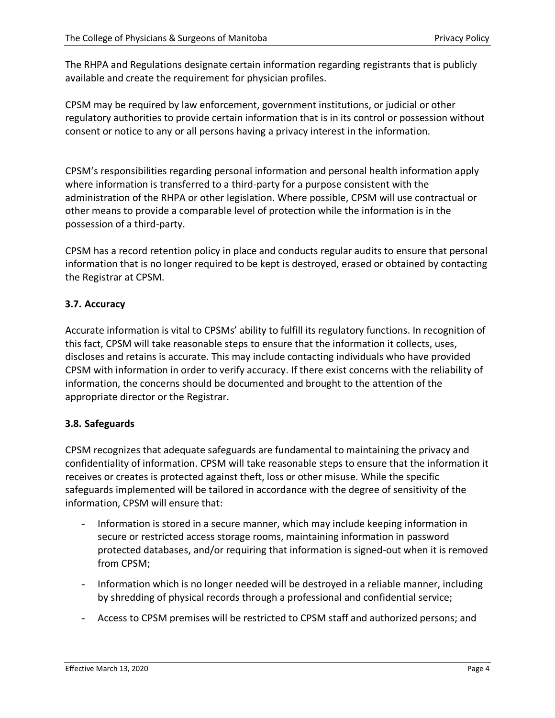The RHPA and Regulations designate certain information regarding registrants that is publicly available and create the requirement for physician profiles.

CPSM may be required by law enforcement, government institutions, or judicial or other regulatory authorities to provide certain information that is in its control or possession without consent or notice to any or all persons having a privacy interest in the information.

CPSM's responsibilities regarding personal information and personal health information apply where information is transferred to a third-party for a purpose consistent with the administration of the RHPA or other legislation. Where possible, CPSM will use contractual or other means to provide a comparable level of protection while the information is in the possession of a third-party.

CPSM has a record retention policy in place and conducts regular audits to ensure that personal information that is no longer required to be kept is destroyed, erased or obtained by contacting the Registrar at CPSM.

#### <span id="page-3-0"></span>**3.7. Accuracy**

Accurate information is vital to CPSMs' ability to fulfill its regulatory functions. In recognition of this fact, CPSM will take reasonable steps to ensure that the information it collects, uses, discloses and retains is accurate. This may include contacting individuals who have provided CPSM with information in order to verify accuracy. If there exist concerns with the reliability of information, the concerns should be documented and brought to the attention of the appropriate director or the Registrar.

#### <span id="page-3-1"></span>**3.8. Safeguards**

CPSM recognizes that adequate safeguards are fundamental to maintaining the privacy and confidentiality of information. CPSM will take reasonable steps to ensure that the information it receives or creates is protected against theft, loss or other misuse. While the specific safeguards implemented will be tailored in accordance with the degree of sensitivity of the information, CPSM will ensure that:

- Information is stored in a secure manner, which may include keeping information in secure or restricted access storage rooms, maintaining information in password protected databases, and/or requiring that information is signed-out when it is removed from CPSM;
- Information which is no longer needed will be destroyed in a reliable manner, including by shredding of physical records through a professional and confidential service;
- Access to CPSM premises will be restricted to CPSM staff and authorized persons; and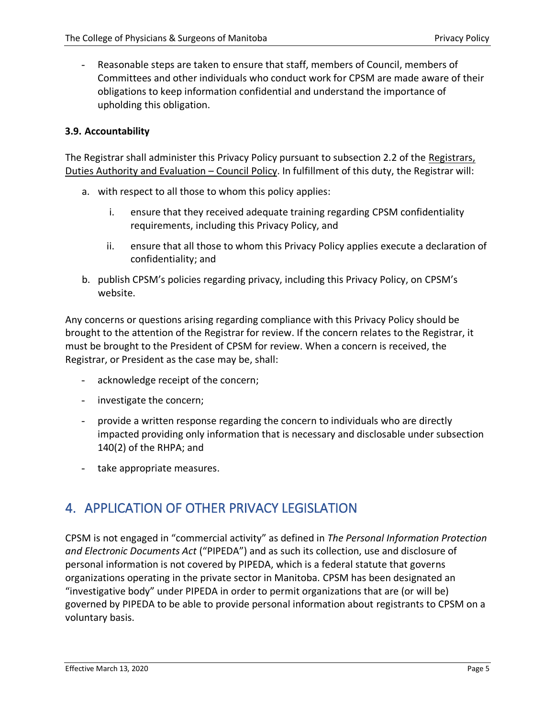Reasonable steps are taken to ensure that staff, members of Council, members of Committees and other individuals who conduct work for CPSM are made aware of their obligations to keep information confidential and understand the importance of upholding this obligation.

### <span id="page-4-0"></span>**3.9. Accountability**

The Registrar shall administer this Privacy Policy pursuant to subsection 2.2 of the Registrars, Duties Authority and Evaluation – Council Policy. In fulfillment of this duty, the Registrar will:

- a. with respect to all those to whom this policy applies:
	- i. ensure that they received adequate training regarding CPSM confidentiality requirements, including this Privacy Policy, and
	- ii. ensure that all those to whom this Privacy Policy applies execute a declaration of confidentiality; and
- b. publish CPSM's policies regarding privacy, including this Privacy Policy, on CPSM's website.

Any concerns or questions arising regarding compliance with this Privacy Policy should be brought to the attention of the Registrar for review. If the concern relates to the Registrar, it must be brought to the President of CPSM for review. When a concern is received, the Registrar, or President as the case may be, shall:

- acknowledge receipt of the concern;
- investigate the concern;
- provide a written response regarding the concern to individuals who are directly impacted providing only information that is necessary and disclosable under subsection 140(2) of the RHPA; and
- take appropriate measures.

# <span id="page-4-1"></span>4. APPLICATION OF OTHER PRIVACY LEGISLATION

CPSM is not engaged in "commercial activity" as defined in *The Personal Information Protection and Electronic Documents Act* ("PIPEDA") and as such its collection, use and disclosure of personal information is not covered by PIPEDA, which is a federal statute that governs organizations operating in the private sector in Manitoba. CPSM has been designated an "investigative body" under PIPEDA in order to permit organizations that are (or will be) governed by PIPEDA to be able to provide personal information about registrants to CPSM on a voluntary basis.